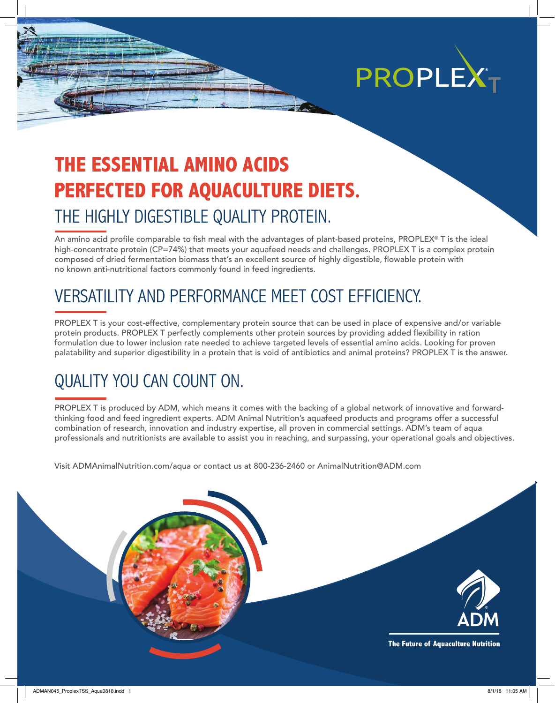

## **THE ESSENTIAL AMINO ACIDS PERFECTED FOR AQUACULTURE DIETS.** THE HIGHLY DIGESTIBLE QUALITY PROTEIN.

An amino acid profile comparable to fish meal with the advantages of plant-based proteins, PROPLEX® T is the ideal high-concentrate protein (CP=74%) that meets your aquafeed needs and challenges. PROPLEX T is a complex protein composed of dried fermentation biomass that's an excellent source of highly digestible, flowable protein with no known anti-nutritional factors commonly found in feed ingredients.

## VERSATILITY AND PERFORMANCE MEET COST EFFICIENCY.

PROPLEX T is your cost-effective, complementary protein source that can be used in place of expensive and/or variable protein products. PROPLEX T perfectly complements other protein sources by providing added flexibility in ration formulation due to lower inclusion rate needed to achieve targeted levels of essential amino acids. Looking for proven palatability and superior digestibility in a protein that is void of antibiotics and animal proteins? PROPLEX T is the answer.

### QUALITY YOU CAN COUNT ON.

PROPLEX T is produced by ADM, which means it comes with the backing of a global network of innovative and forwardthinking food and feed ingredient experts. ADM Animal Nutrition's aquafeed products and programs offer a successful combination of research, innovation and industry expertise, all proven in commercial settings. ADM's team of aqua professionals and nutritionists are available to assist you in reaching, and surpassing, your operational goals and objectives.

Visit ADMAnimalNutrition.com/aqua or contact us at 800-236-2460 or AnimalNutrition@ADM.com